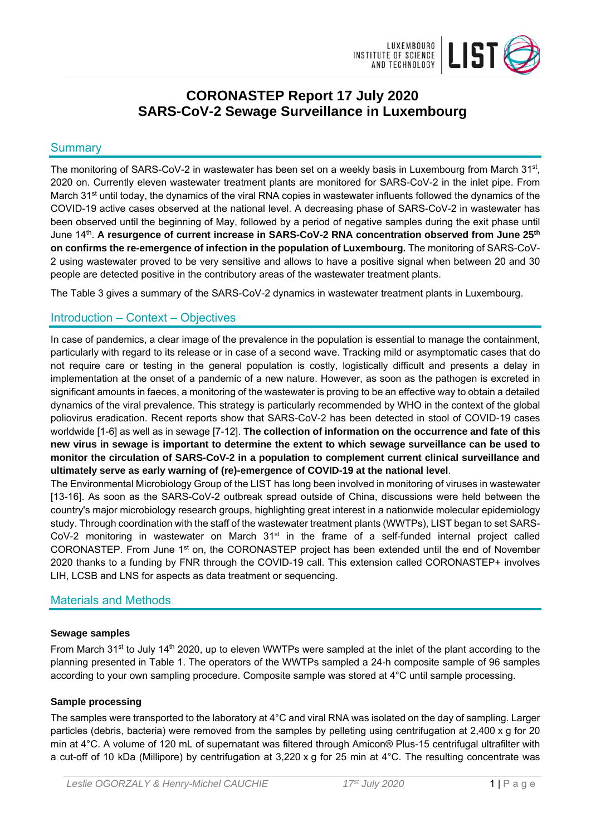

# **CORONASTEP Report 17 July 2020 SARS-CoV-2 Sewage Surveillance in Luxembourg**

## **Summary**

The monitoring of SARS-CoV-2 in wastewater has been set on a weekly basis in Luxembourg from March 31<sup>st</sup>, 2020 on. Currently eleven wastewater treatment plants are monitored for SARS-CoV-2 in the inlet pipe. From March 31<sup>st</sup> until today, the dynamics of the viral RNA copies in wastewater influents followed the dynamics of the COVID-19 active cases observed at the national level. A decreasing phase of SARS-CoV-2 in wastewater has been observed until the beginning of May, followed by a period of negative samples during the exit phase until June 14th. **A resurgence of current increase in SARS-CoV-2 RNA concentration observed from June 25th on confirms the re-emergence of infection in the population of Luxembourg.** The monitoring of SARS-CoV-2 using wastewater proved to be very sensitive and allows to have a positive signal when between 20 and 30 people are detected positive in the contributory areas of the wastewater treatment plants.

The Table 3 gives a summary of the SARS-CoV-2 dynamics in wastewater treatment plants in Luxembourg.

## Introduction – Context – Objectives

In case of pandemics, a clear image of the prevalence in the population is essential to manage the containment, particularly with regard to its release or in case of a second wave. Tracking mild or asymptomatic cases that do not require care or testing in the general population is costly, logistically difficult and presents a delay in implementation at the onset of a pandemic of a new nature. However, as soon as the pathogen is excreted in significant amounts in faeces, a monitoring of the wastewater is proving to be an effective way to obtain a detailed dynamics of the viral prevalence. This strategy is particularly recommended by WHO in the context of the global poliovirus eradication. Recent reports show that SARS-CoV-2 has been detected in stool of COVID-19 cases worldwide [1-6] as well as in sewage [7-12]. **The collection of information on the occurrence and fate of this new virus in sewage is important to determine the extent to which sewage surveillance can be used to monitor the circulation of SARS-CoV-2 in a population to complement current clinical surveillance and ultimately serve as early warning of (re)-emergence of COVID-19 at the national level**.

The Environmental Microbiology Group of the LIST has long been involved in monitoring of viruses in wastewater [13-16]. As soon as the SARS-CoV-2 outbreak spread outside of China, discussions were held between the country's major microbiology research groups, highlighting great interest in a nationwide molecular epidemiology study. Through coordination with the staff of the wastewater treatment plants (WWTPs), LIST began to set SARS-CoV-2 monitoring in wastewater on March  $31<sup>st</sup>$  in the frame of a self-funded internal project called CORONASTEP. From June 1<sup>st</sup> on, the CORONASTEP project has been extended until the end of November 2020 thanks to a funding by FNR through the COVID-19 call. This extension called CORONASTEP+ involves LIH, LCSB and LNS for aspects as data treatment or sequencing.

## Materials and Methods

### **Sewage samples**

From March 31<sup>st</sup> to July 14<sup>th</sup> 2020, up to eleven WWTPs were sampled at the inlet of the plant according to the planning presented in Table 1. The operators of the WWTPs sampled a 24-h composite sample of 96 samples according to your own sampling procedure. Composite sample was stored at 4°C until sample processing.

## **Sample processing**

The samples were transported to the laboratory at 4°C and viral RNA was isolated on the day of sampling. Larger particles (debris, bacteria) were removed from the samples by pelleting using centrifugation at 2,400 x g for 20 min at 4°C. A volume of 120 mL of supernatant was filtered through Amicon® Plus-15 centrifugal ultrafilter with a cut-off of 10 kDa (Millipore) by centrifugation at 3,220 x g for 25 min at 4°C. The resulting concentrate was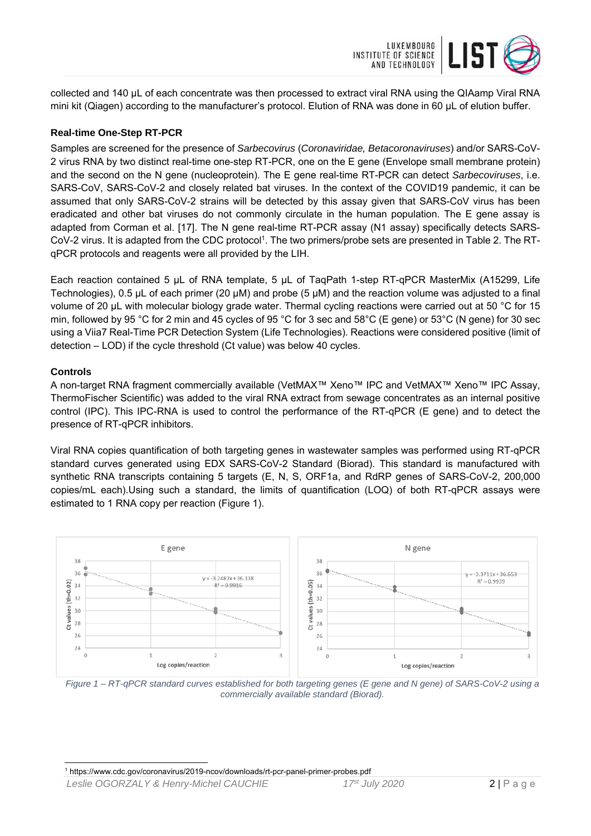

collected and 140 µL of each concentrate was then processed to extract viral RNA using the QIAamp Viral RNA mini kit (Qiagen) according to the manufacturer's protocol. Elution of RNA was done in 60 μL of elution buffer.

#### **Real-time One-Step RT-PCR**

Samples are screened for the presence of *Sarbecovirus* (*Coronaviridae, Betacoronaviruses*) and/or SARS-CoV-2 virus RNA by two distinct real-time one-step RT-PCR, one on the E gene (Envelope small membrane protein) and the second on the N gene (nucleoprotein). The E gene real-time RT-PCR can detect *Sarbecoviruses*, i.e. SARS-CoV, SARS-CoV-2 and closely related bat viruses. In the context of the COVID19 pandemic, it can be assumed that only SARS-CoV-2 strains will be detected by this assay given that SARS-CoV virus has been eradicated and other bat viruses do not commonly circulate in the human population. The E gene assay is adapted from Corman et al. [17]. The N gene real-time RT-PCR assay (N1 assay) specifically detects SARS-CoV-2 virus. It is adapted from the CDC protocol<sup>1</sup>. The two primers/probe sets are presented in Table 2. The RTqPCR protocols and reagents were all provided by the LIH.

Each reaction contained 5 μL of RNA template, 5 μL of TaqPath 1-step RT-qPCR MasterMix (A15299, Life Technologies), 0.5 µL of each primer (20 µM) and probe (5 µM) and the reaction volume was adjusted to a final volume of 20 μL with molecular biology grade water. Thermal cycling reactions were carried out at 50 °C for 15 min, followed by 95 °C for 2 min and 45 cycles of 95 °C for 3 sec and 58°C (E gene) or 53°C (N gene) for 30 sec using a Viia7 Real-Time PCR Detection System (Life Technologies). Reactions were considered positive (limit of detection – LOD) if the cycle threshold (Ct value) was below 40 cycles.

#### **Controls**

A non-target RNA fragment commercially available (VetMAX™ Xeno™ IPC and VetMAX™ Xeno™ IPC Assay, ThermoFischer Scientific) was added to the viral RNA extract from sewage concentrates as an internal positive control (IPC). This IPC-RNA is used to control the performance of the RT-qPCR (E gene) and to detect the presence of RT-qPCR inhibitors.

Viral RNA copies quantification of both targeting genes in wastewater samples was performed using RT-qPCR standard curves generated using EDX SARS-CoV-2 Standard (Biorad). This standard is manufactured with synthetic RNA transcripts containing 5 targets (E, N, S, ORF1a, and RdRP genes of SARS-CoV-2, 200,000 copies/mL each).Using such a standard, the limits of quantification (LOQ) of both RT-qPCR assays were estimated to 1 RNA copy per reaction (Figure 1).



*Figure 1 – RT-qPCR standard curves established for both targeting genes (E gene and N gene) of SARS-CoV-2 using a commercially available standard (Biorad).* 

<sup>-</sup>1 https://www.cdc.gov/coronavirus/2019-ncov/downloads/rt-pcr-panel-primer-probes.pdf

*Leslie OGORZALY & Henry-Michel CAUCHIE 17st July 2020* 2 | Page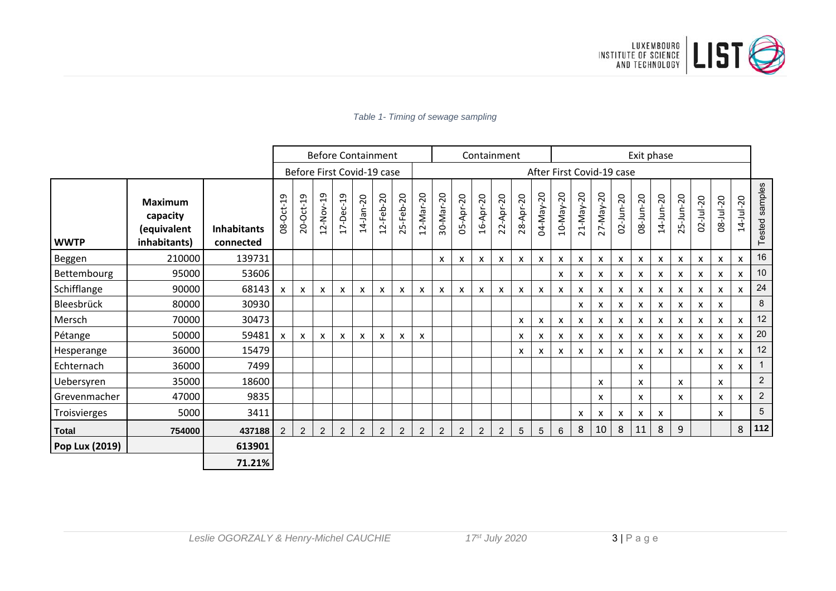

#### Before Containment  $\qquad \qquad \vert$  Containment  $\qquad \qquad \vert$  Exit phase After First Covid-19 case Before First Covid‐19Tested samples Tested samples ‐20 ‐20 ‐20 ‐20 ‐19 <u>م</u> ‐20 ‐20 ‐20 ‐20 م<br>ب م<br>ب ‐20 ‐20 ‐20 ‐20 ‐20 ‐20 ‐20 ‐20 ‐20 ‐20 ‐20 ‐20 **Maximum**‐Nov ‐Mar ‐Mar ‐May ‐May ‐May ‐May ‐Oct ‐Oct ‐Dec ‐Feb ‐Feb ‐Apr ‐Apr ‐Apr ‐Apr ‐Jan ‐Jun ‐Jun ‐Jun ‐Jun ミ ミ ヨ **capacity (equivalent** 02 08 14 **Inhabitants**08 20 14 5 9 22  $^{\circ}_{28}$ 02 08 14 25 12 17 12 53 12 30 04  $\Xi$ 21 27 **inhabitants) connected WWTP** Beggen 210000 139731 <sup>x</sup> <sup>x</sup> <sup>x</sup> <sup>x</sup> <sup>x</sup> <sup>x</sup> <sup>x</sup> <sup>x</sup> <sup>x</sup> <sup>x</sup> <sup>x</sup> <sup>x</sup> <sup>x</sup> <sup>x</sup> <sup>x</sup> <sup>x</sup> <sup>16</sup> Bettembourg 95000 53606 <sup>x</sup> <sup>x</sup> <sup>x</sup> <sup>x</sup> <sup>x</sup> <sup>x</sup> <sup>x</sup> <sup>x</sup> <sup>x</sup> <sup>x</sup> <sup>10</sup> Schifflange 90000 68143 <sup>x</sup> <sup>x</sup> <sup>x</sup> <sup>x</sup> <sup>x</sup> <sup>x</sup> <sup>x</sup> <sup>x</sup> <sup>x</sup> <sup>x</sup> <sup>x</sup> <sup>x</sup> <sup>x</sup> <sup>x</sup> <sup>x</sup> <sup>x</sup> <sup>x</sup> <sup>x</sup> <sup>x</sup> <sup>x</sup> <sup>x</sup> <sup>x</sup> <sup>x</sup> <sup>x</sup> <sup>24</sup> Bleesbrück 80000 30930 <sup>x</sup> <sup>x</sup> <sup>x</sup> <sup>x</sup> <sup>x</sup> <sup>x</sup> <sup>x</sup> <sup>x</sup> 8 Mersch 70000 30473 <sup>x</sup> <sup>x</sup> <sup>x</sup> <sup>x</sup> <sup>x</sup> <sup>x</sup> <sup>x</sup> <sup>x</sup> <sup>x</sup> <sup>x</sup> <sup>x</sup> <sup>x</sup> 12 Pétange 50000 59481 <sup>x</sup> <sup>x</sup> <sup>x</sup> <sup>x</sup> <sup>x</sup> <sup>x</sup> <sup>x</sup> <sup>x</sup> <sup>x</sup> <sup>x</sup> <sup>x</sup> <sup>x</sup> <sup>x</sup> <sup>x</sup> <sup>x</sup> <sup>x</sup> <sup>x</sup> <sup>x</sup> <sup>x</sup> <sup>x</sup> <sup>20</sup> Hesperange 36000 15479 <sup>x</sup> <sup>x</sup> <sup>x</sup> <sup>x</sup> <sup>x</sup> <sup>x</sup> <sup>x</sup> <sup>x</sup> <sup>x</sup> <sup>x</sup> <sup>x</sup> <sup>x</sup> <sup>12</sup> Echternach 36000 7499 <sup>x</sup> <sup>x</sup> <sup>x</sup> 1 Uebersyren 35000 18600 <sup>x</sup> <sup>x</sup> <sup>x</sup> <sup>x</sup> <sup>2</sup> Grevenmacher 47000 9835 <sup>x</sup> <sup>x</sup> <sup>x</sup> <sup>x</sup> <sup>x</sup> 2 Troisvierges 5000 3411 <sup>x</sup> <sup>x</sup> <sup>x</sup> <sup>x</sup> <sup>x</sup> <sup>x</sup> <sup>5</sup> **Total 754000 437188** 2 2 2 2 2 2 2 2 2 2 2 2 5 5 6 8 10 8 11 8 9 8 **<sup>112</sup> Pop Lux (2019) 613901 71.21%**

#### *Table 1- Timing of sewage sampling*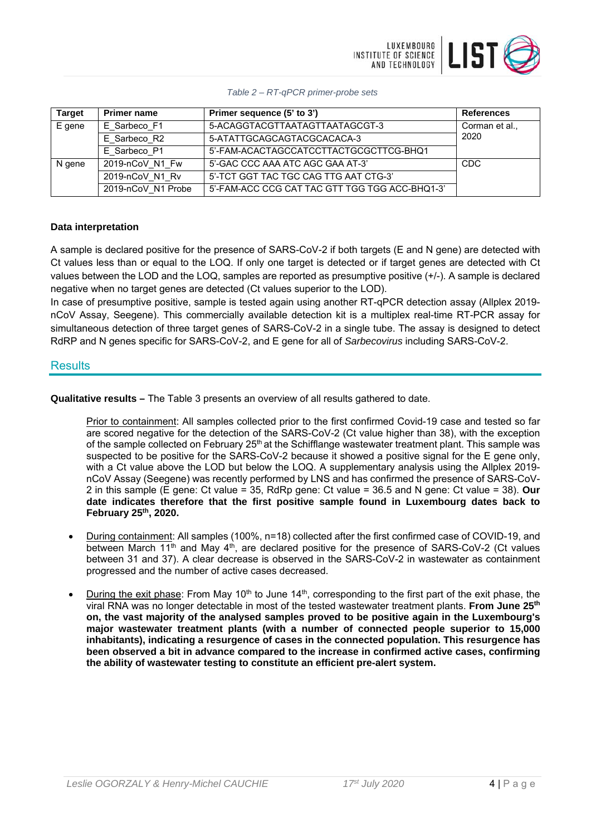

### *Table 2 – RT-qPCR primer-probe sets*

| <b>Target</b> | <b>Primer name</b> | Primer sequence (5' to 3')                     | <b>References</b> |
|---------------|--------------------|------------------------------------------------|-------------------|
| E gene        | E Sarbeco F1       | 5-ACAGGTACGTTAATAGTTAATAGCGT-3                 | Corman et al.,    |
|               | E Sarbeco R2       | 5-ATATTGCAGCAGTACGCACACA-3                     | 2020              |
|               | E Sarbeco_P1       | 5'-FAM-ACACTAGCCATCCTTACTGCGCTTCG-BHQ1         |                   |
| N gene        | 2019-nCoV N1 Fw    | 5'-GAC CCC AAA ATC AGC GAA AT-3'               | CDC               |
|               | 2019-nCoV N1 Rv    | 5'-TCT GGT TAC TGC CAG TTG AAT CTG-3'          |                   |
|               | 2019-nCoV N1 Probe | 5'-FAM-ACC CCG CAT TAC GTT TGG TGG ACC-BHQ1-3' |                   |

### **Data interpretation**

A sample is declared positive for the presence of SARS-CoV-2 if both targets (E and N gene) are detected with Ct values less than or equal to the LOQ. If only one target is detected or if target genes are detected with Ct values between the LOD and the LOQ, samples are reported as presumptive positive (+/-). A sample is declared negative when no target genes are detected (Ct values superior to the LOD).

In case of presumptive positive, sample is tested again using another RT-qPCR detection assay (Allplex 2019 nCoV Assay, Seegene). This commercially available detection kit is a multiplex real-time RT-PCR assay for simultaneous detection of three target genes of SARS-CoV-2 in a single tube. The assay is designed to detect RdRP and N genes specific for SARS-CoV-2, and E gene for all of *Sarbecovirus* including SARS-CoV-2.

## **Results**

**Qualitative results –** The Table 3 presents an overview of all results gathered to date.

Prior to containment: All samples collected prior to the first confirmed Covid-19 case and tested so far are scored negative for the detection of the SARS-CoV-2 (Ct value higher than 38), with the exception of the sample collected on February 25<sup>th</sup> at the Schifflange wastewater treatment plant. This sample was suspected to be positive for the SARS-CoV-2 because it showed a positive signal for the E gene only, with a Ct value above the LOD but below the LOQ. A supplementary analysis using the Allplex 2019 nCoV Assay (Seegene) was recently performed by LNS and has confirmed the presence of SARS-CoV-2 in this sample (E gene: Ct value = 35, RdRp gene: Ct value = 36.5 and N gene: Ct value = 38). **Our date indicates therefore that the first positive sample found in Luxembourg dates back to February 25th, 2020.**

- During containment: All samples (100%, n=18) collected after the first confirmed case of COVID-19, and between March  $11<sup>th</sup>$  and May  $4<sup>th</sup>$ , are declared positive for the presence of SARS-CoV-2 (Ct values between 31 and 37). A clear decrease is observed in the SARS-CoV-2 in wastewater as containment progressed and the number of active cases decreased.
- During the exit phase: From May 10<sup>th</sup> to June 14<sup>th</sup>, corresponding to the first part of the exit phase, the viral RNA was no longer detectable in most of the tested wastewater treatment plants. **From June 25th on, the vast majority of the analysed samples proved to be positive again in the Luxembourg's major wastewater treatment plants (with a number of connected people superior to 15,000 inhabitants), indicating a resurgence of cases in the connected population. This resurgence has been observed a bit in advance compared to the increase in confirmed active cases, confirming the ability of wastewater testing to constitute an efficient pre-alert system.**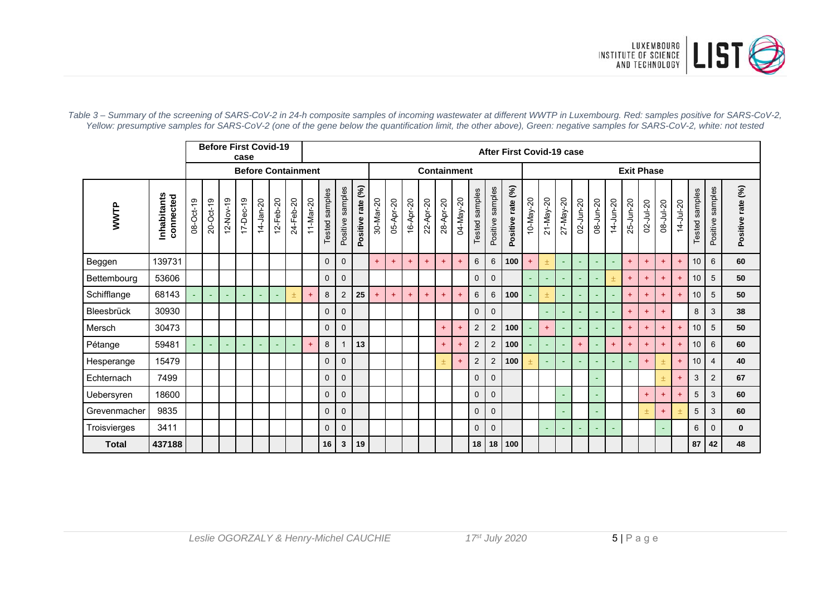

|              |                          |           | <b>Before First Covid-19</b><br>case |                 |                 |               |                          |           |           |                   | After First Covid-19 case |                                   |           |           |           |           |           |           |                          |                     |                   |           |                 |           |           |           |                |               |           |               |                 |                   |                     |                      |
|--------------|--------------------------|-----------|--------------------------------------|-----------------|-----------------|---------------|--------------------------|-----------|-----------|-------------------|---------------------------|-----------------------------------|-----------|-----------|-----------|-----------|-----------|-----------|--------------------------|---------------------|-------------------|-----------|-----------------|-----------|-----------|-----------|----------------|---------------|-----------|---------------|-----------------|-------------------|---------------------|----------------------|
|              |                          |           | <b>Before Containment</b>            |                 |                 |               |                          |           |           |                   |                           | <b>Containment</b>                |           |           |           |           |           |           |                          |                     | <b>Exit Phase</b> |           |                 |           |           |           |                |               |           |               |                 |                   |                     |                      |
| WWTP         | Inhabitants<br>connected | 08-Oct-19 | $20-Oct-19$                          | $12 - Nov - 19$ | $17 - Dec - 19$ | $14 - Jan-20$ | $12 - Feb - 20$          | 24-Feb-20 | 11-Mar-20 | samples<br>Tested | samples<br>Positive       | $\mathcal{E}$<br>rate<br>Positive | 30-Mar-20 | 05-Apr-20 | 16-Apr-20 | 22-Apr-20 | 28-Apr-20 | 04-May-20 | samples<br><b>Tested</b> | samples<br>Positive | Positive rate (%) | 10-May-20 | $21 - May - 20$ | 27-May-20 | 02-Jun-20 | 08-Jun-20 | 14-Jun-20      | $25 - Jun-20$ | 02-Jul-20 | $08 -$ Jul-20 | $14 - Jul - 20$ | samples<br>Tested | samples<br>Positive | rate (%)<br>Positive |
| Beggen       | 139731                   |           |                                      |                 |                 |               |                          |           |           | $\mathbf 0$       | $\mathbf 0$               |                                   | $+$       | $+$       | $+$       | $+$       | $+$       |           | 6                        | 6                   | 100               | $\ddot{}$ | 土               |           |           |           |                | $+$           | $+$       | $+$           | $+$             | 10 <sup>1</sup>   | 6                   | 60                   |
| Bettembourg  | 53606                    |           |                                      |                 |                 |               |                          |           |           | $\mathbf{0}$      | $\mathbf{0}$              |                                   |           |           |           |           |           |           | $\mathbf 0$              | $\mathbf 0$         |                   |           | c.              |           |           |           | $\overline{+}$ | $+$           | $+$       | $+$           | $+$             | 10 <sup>1</sup>   | 5                   | 50                   |
| Schifflange  | 68143                    |           |                                      |                 |                 |               | ٠                        | 土         | $+$       | 8                 | $\overline{2}$            | 25                                | $+$       | $+$       | $+$       | $+$       | $+$       |           | 6                        | 6                   | 100               |           | 土               | ٠         |           |           |                | $\ddot{}$     | $+$       | $+$           | $+$             | 10 <sup>1</sup>   | 5                   | 50                   |
| Bleesbrück   | 30930                    |           |                                      |                 |                 |               |                          |           |           | $\mathbf 0$       | $\mathbf{0}$              |                                   |           |           |           |           |           |           | $\mathbf 0$              | $\mathbf 0$         |                   |           | $\sim$          |           |           |           |                | $+$           | $+$       | $+$           |                 | 8                 | 3                   | 38                   |
| Mersch       | 30473                    |           |                                      |                 |                 |               |                          |           |           | $\mathbf{0}$      | $\mathbf{0}$              |                                   |           |           |           |           | $+$       |           | $\overline{2}$           | $\sqrt{2}$          | 100               |           | $+$             |           |           |           |                | $+$           | $+$       | $+$           | $+$             | 10 <sup>1</sup>   | 5                   | 50                   |
| Pétange      | 59481                    |           |                                      |                 |                 |               | $\overline{\phantom{0}}$ | c.        | $+$       | 8                 | $\mathbf{1}$              | 13                                |           |           |           |           | $+$       |           | $\overline{2}$           | $\overline{2}$      | 100               |           | ÷.              |           | $+$       |           | $+$            | $+$           | $+$       | $+$           | $+$             | 10 <sup>1</sup>   | 6                   | 60                   |
| Hesperange   | 15479                    |           |                                      |                 |                 |               |                          |           |           | $\mathbf{0}$      | $\mathbf{0}$              |                                   |           |           |           |           |           |           | $\overline{2}$           | $\overline{2}$      | 100               | 土         | $\sim$          |           |           |           |                |               | $+$       |               | $+$             | 10 <sup>1</sup>   | $\overline{4}$      | 40                   |
| Echternach   | 7499                     |           |                                      |                 |                 |               |                          |           |           | $\mathbf 0$       | $\mathbf{0}$              |                                   |           |           |           |           |           |           | $\mathbf 0$              | $\mathbf 0$         |                   |           |                 |           |           |           |                |               |           | 土             | $+$             | 3                 | 2                   | 67                   |
| Uebersyren   | 18600                    |           |                                      |                 |                 |               |                          |           |           | $\mathbf{0}$      | $\mathbf{0}$              |                                   |           |           |           |           |           |           | $\mathbf 0$              | $\mathbf{0}$        |                   |           |                 |           |           |           |                |               | $+$       | $\ddotmark$   | $+$             | 5                 | 3                   | 60                   |
| Grevenmacher | 9835                     |           |                                      |                 |                 |               |                          |           |           | $\mathbf{0}$      | $\mathbf{0}$              |                                   |           |           |           |           |           |           | $\mathbf 0$              | $\mathbf 0$         |                   |           |                 |           |           |           |                |               | $+$       | $+$           |                 | 5                 | 3                   | 60                   |
| Troisvierges | 3411                     |           |                                      |                 |                 |               |                          |           |           | $\mathbf{0}$      | $\mathbf{0}$              |                                   |           |           |           |           |           |           | $\mathbf 0$              | $\mathbf 0$         |                   |           | ×.              |           |           |           |                |               |           |               |                 | 6                 | $\Omega$            | $\mathbf{0}$         |
| <b>Total</b> | 437188                   |           |                                      |                 |                 |               |                          |           |           | 16                | 3                         | 19                                |           |           |           |           |           |           | 18                       | 18                  | 100               |           |                 |           |           |           |                |               |           |               |                 | 87                | 42                  | 48                   |

*Table 3 – Summary of the screening of SARS-CoV-2 in 24-h composite samples of incoming wastewater at different WWTP in Luxembourg. Red: samples positive for SARS-CoV-2, Yellow: presumptive samples for SARS-CoV-2 (one of the gene below the quantification limit, the other above), Green: negative samples for SARS-CoV-2, white: not tested*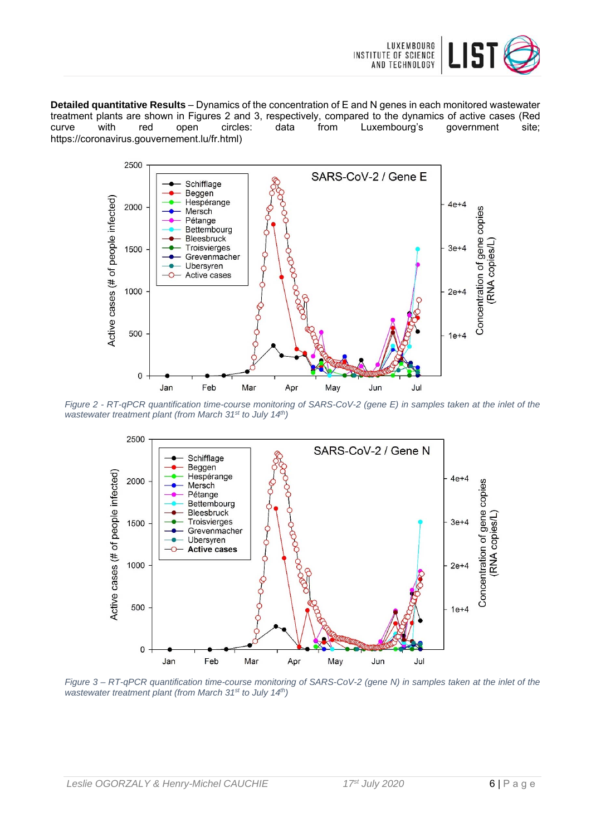

**Detailed quantitative Results** – Dynamics of the concentration of E and N genes in each monitored wastewater treatment plants are shown in Figures 2 and 3, respectively, compared to the dynamics of active cases (Red<br>
curve with red open circles: data from Luxembourg's government site: curve with red open circles: data from Luxembourg's government site; https://coronavirus.gouvernement.lu/fr.html)



*Figure 2 - RT-qPCR quantification time-course monitoring of SARS-CoV-2 (gene E) in samples taken at the inlet of the wastewater treatment plant (from March 31st to July 14th)* 



*Figure 3 – RT-qPCR quantification time-course monitoring of SARS-CoV-2 (gene N) in samples taken at the inlet of the wastewater treatment plant (from March 31st to July 14th)*